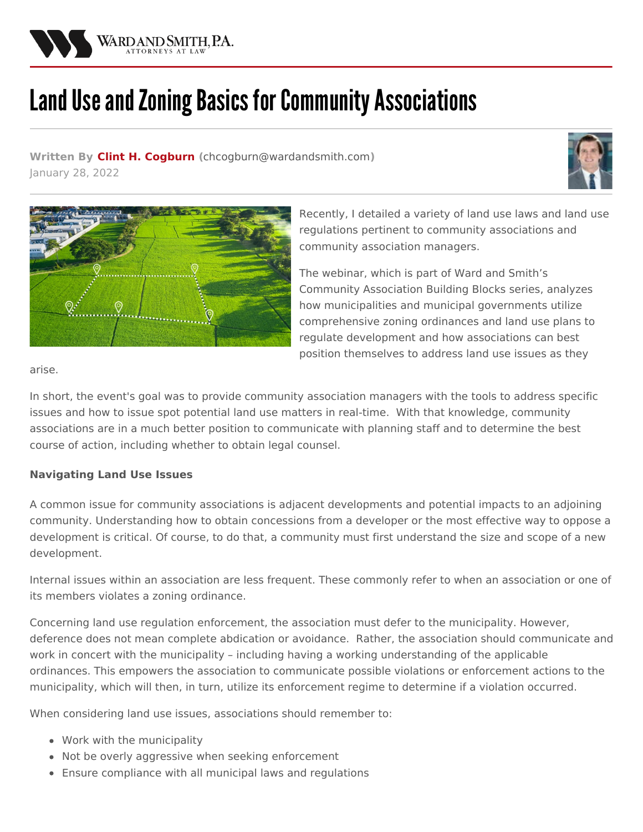

## Land Use and Zoning Basics for Community Associations

**Written By Clint H. [Cogburn](/attorneys/clinton-cogburn) (**[chcogburn@wardandsmith.com](mailto:chcogburn@wardandsmith.com)**)** January 28, 2022





Recently, I detailed a variety of land use laws and land use regulations pertinent to community associations and community association managers.

The webinar, which is part of Ward and Smith's Community Association Building Blocks series, analyzes how municipalities and municipal governments utilize comprehensive zoning ordinances and land use plans to regulate development and how associations can best position themselves to address land use issues as they

arise.

In short, the event's goal was to provide community association managers with the tools to address specific issues and how to issue spot potential land use matters in real-time. With that knowledge, community associations are in a much better position to communicate with planning staff and to determine the best course of action, including whether to obtain legal counsel.

## **Navigating Land Use Issues**

A common issue for community associations is adjacent developments and potential impacts to an adjoining community. Understanding how to obtain concessions from a developer or the most effective way to oppose a development is critical. Of course, to do that, a community must first understand the size and scope of a new development.

Internal issues within an association are less frequent. These commonly refer to when an association or one of its members violates a zoning ordinance.

Concerning land use regulation enforcement, the association must defer to the municipality. However, deference does not mean complete abdication or avoidance. Rather, the association should communicate and work in concert with the municipality – including having a working understanding of the applicable ordinances. This empowers the association to communicate possible violations or enforcement actions to the municipality, which will then, in turn, utilize its enforcement regime to determine if a violation occurred.

When considering land use issues, associations should remember to:

- Work with the municipality
- Not be overly aggressive when seeking enforcement
- Ensure compliance with all municipal laws and regulations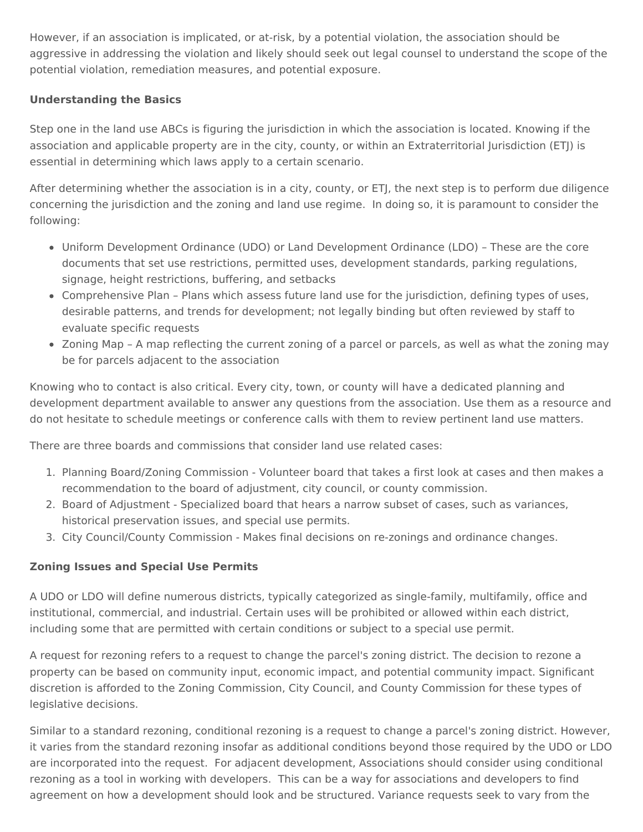However, if an association is implicated, or at-risk, by a potential violation, the association should be aggressive in addressing the violation and likely should seek out legal counsel to understand the scope of the potential violation, remediation measures, and potential exposure.

## **Understanding the Basics**

Step one in the land use ABCs is figuring the jurisdiction in which the association is located. Knowing if the association and applicable property are in the city, county, or within an Extraterritorial Jurisdiction (ETJ) is essential in determining which laws apply to a certain scenario.

After determining whether the association is in a city, county, or ETJ, the next step is to perform due diligence concerning the jurisdiction and the zoning and land use regime. In doing so, it is paramount to consider the following:

- Uniform Development Ordinance (UDO) or Land Development Ordinance (LDO) These are the core documents that set use restrictions, permitted uses, development standards, parking regulations, signage, height restrictions, buffering, and setbacks
- Comprehensive Plan Plans which assess future land use for the jurisdiction, defining types of uses, desirable patterns, and trends for development; not legally binding but often reviewed by staff to evaluate specific requests
- Zoning Map A map reflecting the current zoning of a parcel or parcels, as well as what the zoning may be for parcels adjacent to the association

Knowing who to contact is also critical. Every city, town, or county will have a dedicated planning and development department available to answer any questions from the association. Use them as a resource and do not hesitate to schedule meetings or conference calls with them to review pertinent land use matters.

There are three boards and commissions that consider land use related cases:

- 1. Planning Board/Zoning Commission Volunteer board that takes a first look at cases and then makes a recommendation to the board of adjustment, city council, or county commission.
- 2. Board of Adjustment Specialized board that hears a narrow subset of cases, such as variances, historical preservation issues, and special use permits.
- 3. City Council/County Commission Makes final decisions on re-zonings and ordinance changes.

## **Zoning Issues and Special Use Permits**

A UDO or LDO will define numerous districts, typically categorized as single-family, multifamily, office and institutional, commercial, and industrial. Certain uses will be prohibited or allowed within each district, including some that are permitted with certain conditions or subject to a special use permit.

A request for rezoning refers to a request to change the parcel's zoning district. The decision to rezone a property can be based on community input, economic impact, and potential community impact. Significant discretion is afforded to the Zoning Commission, City Council, and County Commission for these types of legislative decisions.

Similar to a standard rezoning, conditional rezoning is a request to change a parcel's zoning district. However, it varies from the standard rezoning insofar as additional conditions beyond those required by the UDO or LDO are incorporated into the request. For adjacent development, Associations should consider using conditional rezoning as a tool in working with developers. This can be a way for associations and developers to find agreement on how a development should look and be structured. Variance requests seek to vary from the